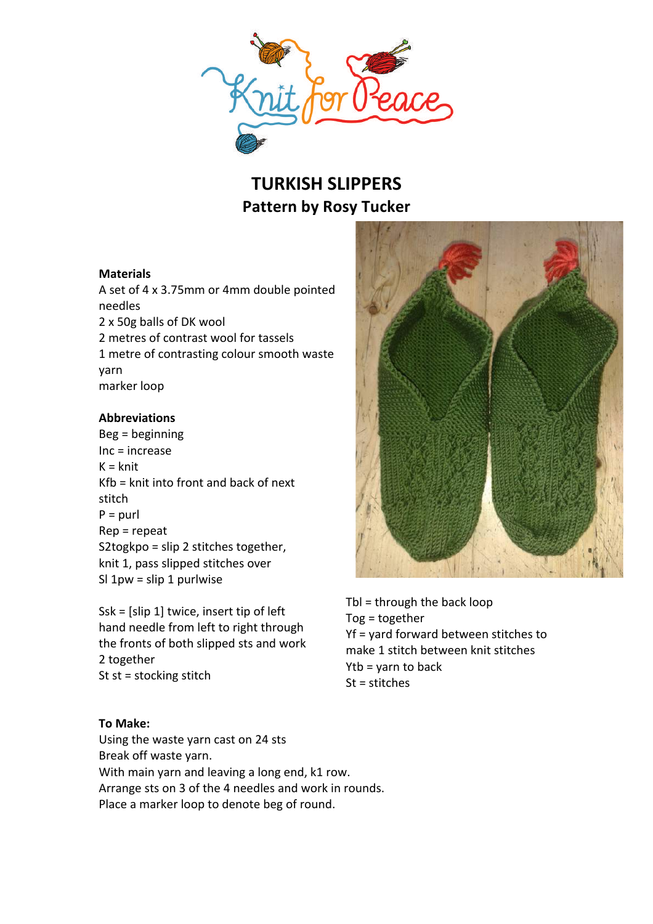

# **TURKISH SLIPPERS Pattern by Rosy Tucker**

## **Materials**

A set of 4 x 3.75mm or 4mm double pointed needles 2 x 50g balls of DK wool 2 metres of contrast wool for tassels 1 metre of contrasting colour smooth waste yarn marker loop

#### **Abbreviations**

 $Beg =$ beginning  $Inc = increase$  $K = knit$  $Kfb =$  knit into front and back of next stitch  $P =$  purl  $Rep = repeat$ S2togkpo =  $\text{slip 2}$  stitches together, knit 1, pass slipped stitches over Sl  $1pw =$  slip  $1$  purlwise

 $Ssk = [slip 1]$  twice, insert tip of left hand needle from left to right through the fronts of both slipped sts and work 2 together St  $st =$  stocking stitch

#### **To Make:**

Using the waste yarn cast on 24 sts Break off waste yarn. With main yarn and leaving a long end, k1 row. Arrange sts on 3 of the 4 needles and work in rounds. Place a marker loop to denote beg of round.



Tbl = through the back  $loop$  $Tog = together$  $Yf =$  vard forward between stitches to make 1 stitch between knit stitches  $Ytb = varn$  to back  $St = stitches$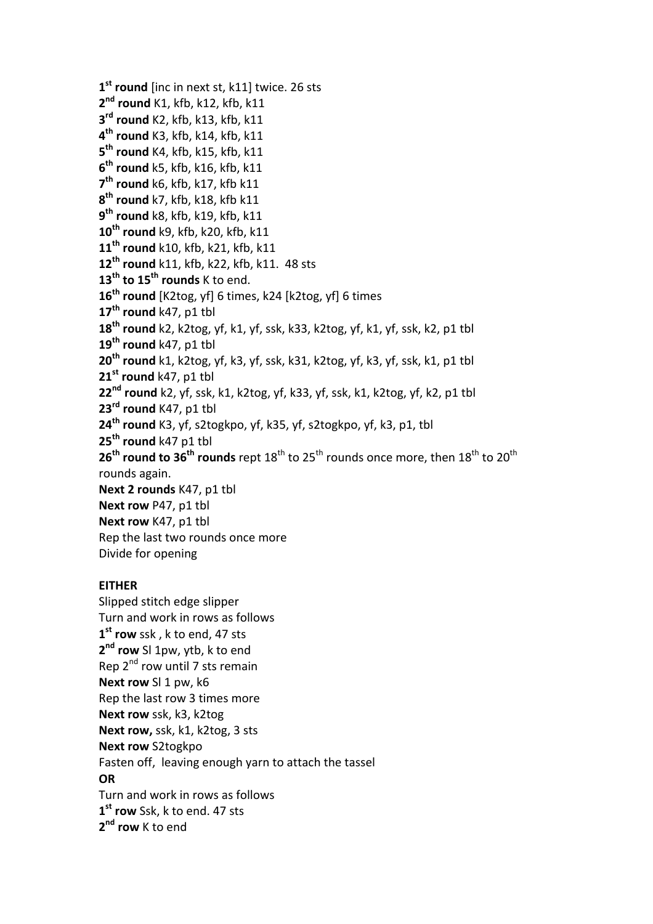```
1<sup>st</sup> round [inc in next st, k11] twice. 26 sts
2<sup>nd</sup> round K1, kfb, k12, kfb, k11
3rd round K2,	kfb,	k13,	kfb,	k11
4th round K3,	kfb,	k14,	kfb,	k11
5<sup>th</sup> round K4, kfb, k15, kfb, k11
6<sup>th</sup> round k5, kfb, k16, kfb, k11
7<sup>th</sup> round k6, kfb, k17, kfb k11
8th round k7,	kfb,	k18,	kfb	k11
9th round k8,	kfb,	k19,	kfb,	k11
10<sup>th</sup> round k9, kfb, k20, kfb, k11
11th round k10,	kfb,	k21,	kfb,	k11
12<sup>th</sup> round k11, kfb, k22, kfb, k11. 48 sts
13<sup>th</sup> to 15<sup>th</sup> rounds K to end.
16<sup>th</sup> round [K2tog, yf] 6 times, k24 [k2tog, yf] 6 times
17<sup>th</sup> round k47, p1 tbl
18<sup>th</sup> round k2, k2tog, yf, k1, yf, ssk, k33, k2tog, yf, k1, yf, ssk, k2, p1 tbl
19<sup>th</sup> round k47, p1 tbl
20<sup>th</sup> round k1, k2tog, yf, k3, yf, ssk, k31, k2tog, yf, k3, yf, ssk, k1, p1 tbl
21st round k47, p1 tbl
22<sup>nd</sup> round k2, yf, ssk, k1, k2tog, yf, k33, yf, ssk, k1, k2tog, yf, k2, p1 tbl
23<sup>rd</sup> round K47, p1 tbl
24<sup>th</sup> round K3, yf, s2togkpo, yf, k35, yf, s2togkpo, yf, k3, p1, tbl
25<sup>th</sup> round k47 p1 tbl
26<sup>th</sup> round to 36<sup>th</sup> rounds rept 18<sup>th</sup> to 25<sup>th</sup> rounds once more, then 18<sup>th</sup> to 20<sup>th</sup>
rounds again.
Next 2 rounds K47, p1 tbl
Next row P47, p1 tbl
Next row K47, p1 tbl
Rep the last two rounds once more
Divide for opening
EITHER
Slipped stitch edge slipper
Turn and work in rows as follows
```
1<sup>st</sup> row ssk, k to end, 47 sts **2<sup>nd</sup> row** SI 1pw, ytb, k to end Rep  $2^{nd}$  row until 7 sts remain **Next row** SI 1 pw, k6 Rep the last row 3 times more **Next row** ssk, k3, k2tog **Next row,** ssk, k1, k2tog, 3 sts **Next row S2togkpo** Fasten off, leaving enough varn to attach the tassel **OR** Turn and work in rows as follows 1<sup>st</sup> row Ssk, k to end. 47 sts 2<sup>nd</sup> row K to end